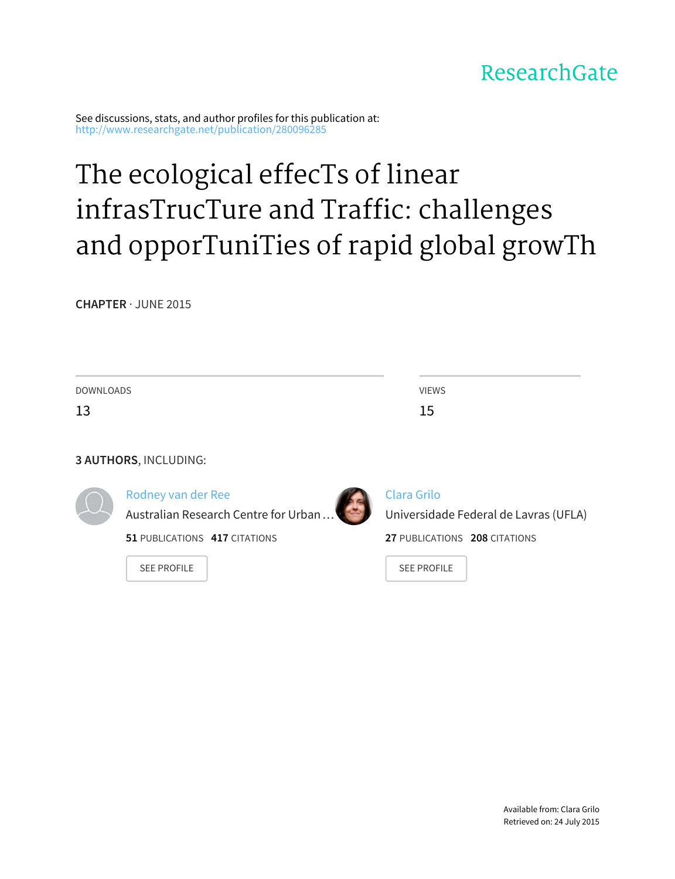# ResearchGate

See discussions, stats, and author profiles for this publication at: [http://www.researchgate.net/publication/280096285](http://www.researchgate.net/publication/280096285_The_ecological_effecTs_of_linear_infrasTrucTure_and_Traffic_challenges_and_opporTuniTies_of_rapid_global_growTh?enrichId=rgreq-10b2c48b-838a-49f7-9a79-a8d4a1dd59c2&enrichSource=Y292ZXJQYWdlOzI4MDA5NjI4NTtBUzoyNTIxNDk1NjEwMzI3MDVAMTQzNzEyODU0ODQ5Mw%3D%3D&el=1_x_2)

# The ecological effecTs of linear [infrasTrucTure](http://www.researchgate.net/publication/280096285_The_ecological_effecTs_of_linear_infrasTrucTure_and_Traffic_challenges_and_opporTuniTies_of_rapid_global_growTh?enrichId=rgreq-10b2c48b-838a-49f7-9a79-a8d4a1dd59c2&enrichSource=Y292ZXJQYWdlOzI4MDA5NjI4NTtBUzoyNTIxNDk1NjEwMzI3MDVAMTQzNzEyODU0ODQ5Mw%3D%3D&el=1_x_3) and Traffic: challenges and opporTuniTies of rapid global growTh

**CHAPTER** · JUNE 2015

| <b>DOWNLOADS</b>      |                                                            | <b>VIEWS</b>                          |
|-----------------------|------------------------------------------------------------|---------------------------------------|
| 13                    |                                                            | 15                                    |
|                       |                                                            |                                       |
| 3 AUTHORS, INCLUDING: |                                                            |                                       |
|                       | Rodney van der Ree<br>Australian Research Centre for Urban | Clara Grilo                           |
|                       |                                                            | Universidade Federal de Lavras (UFLA) |
|                       | 51 PUBLICATIONS 417 CITATIONS                              | 27 PUBLICATIONS 208 CITATIONS         |
|                       | <b>SEE PROFILE</b>                                         | <b>SEE PROFILE</b>                    |
|                       |                                                            |                                       |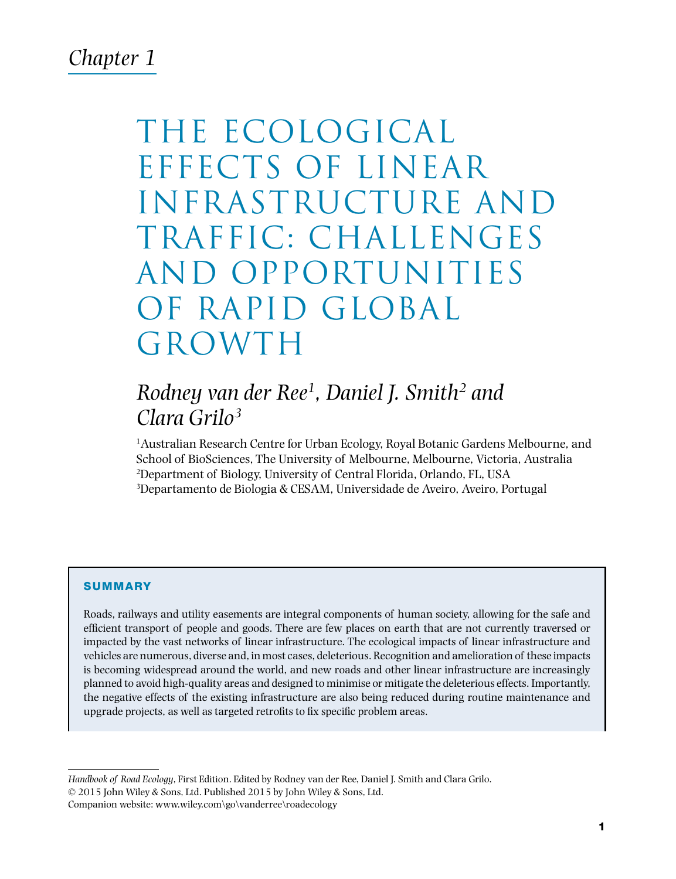# The Ecological Effects of Linear Infrastructure and Traffic: Challenges and Opportunities of Rapid Global Growth

# *Rodney van der Ree1, Daniel J. Smith2 and Clara Grilo3*

1Australian Research Centre for Urban Ecology, Royal Botanic Gardens Melbourne, and School of BioSciences, The University of Melbourne, Melbourne, Victoria, Australia 2Department of Biology, University of Central Florida, Orlando, FL, USA 3Departamento de Biologia & CESAM, Universidade de Aveiro, Aveiro, Portugal

# **SUMMARY**

Roads, railways and utility easements are integral components of human society, allowing for the safe and efficient transport of people and goods. There are few places on earth that are not currently traversed or impacted by the vast networks of linear infrastructure. The ecological impacts of linear infrastructure and vehicles are numerous, diverse and, in most cases, deleterious. Recognition and amelioration of these impacts is becoming widespread around the world, and new roads and other linear infrastructure are increasingly planned to avoid high‐quality areas and designed to minimise or mitigate the deleterious effects. Importantly, the negative effects of the existing infrastructure are also being reduced during routine maintenance and upgrade projects, as well as targeted retrofits to fix specific problem areas.

*Handbook of Road Ecology*, First Edition. Edited by Rodney van der Ree, Daniel J. Smith and Clara Grilo.

© 2015 John Wiley & Sons, Ltd. Published 2015 by John Wiley & Sons, Ltd.

Companion website: www.wiley.com\go\vanderree\roadecology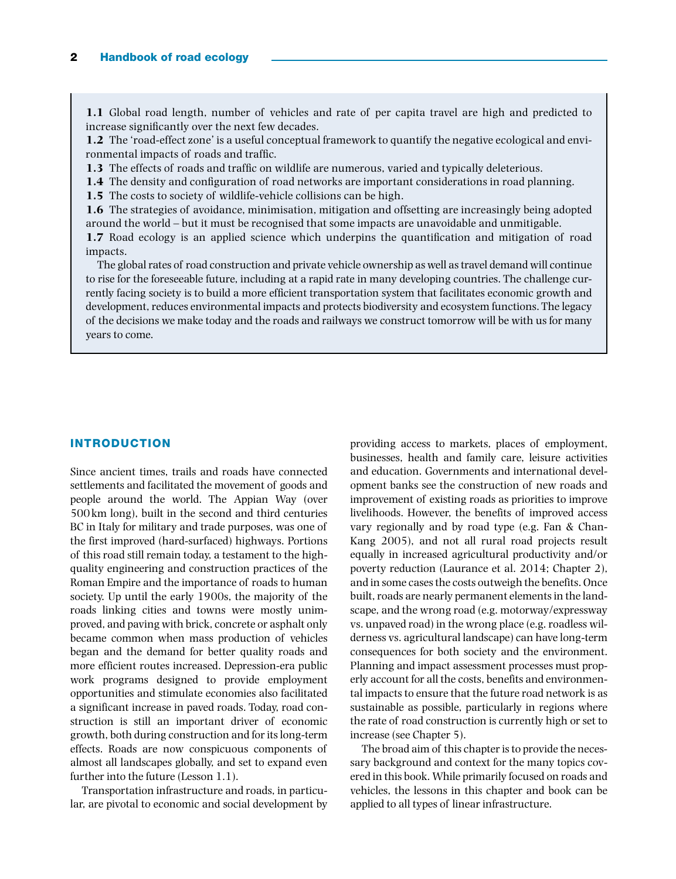**1.1** Global road length, number of vehicles and rate of per capita travel are high and predicted to increase significantly over the next few decades.

**1.2** The 'road-effect zone' is a useful conceptual framework to quantify the negative ecological and environmental impacts of roads and traffic.

**1.3** The effects of roads and traffic on wildlife are numerous, varied and typically deleterious.

**1.4** The density and configuration of road networks are important considerations in road planning.

**1.5** The costs to society of wildlife-vehicle collisions can be high.

**1.6** The strategies of avoidance, minimisation, mitigation and offsetting are increasingly being adopted around the world – but it must be recognised that some impacts are unavoidable and unmitigable.

**1.7** Road ecology is an applied science which underpins the quantification and mitigation of road impacts.

The global rates of road construction and private vehicle ownership as well as travel demand will continue to rise for the foreseeable future, including at a rapid rate in many developing countries. The challenge currently facing society is to build a more efficient transportation system that facilitates economic growth and development, reduces environmental impacts and protects biodiversity and ecosystem functions. The legacy of the decisions we make today and the roads and railways we construct tomorrow will be with us for many years to come.

### **INTRODUCTION**

Since ancient times, trails and roads have connected settlements and facilitated the movement of goods and people around the world. The Appian Way (over 500km long), built in the second and third centuries BC in Italy for military and trade purposes, was one of the first improved (hard‐surfaced) highways. Portions of this road still remain today, a testament to the high‐ quality engineering and construction practices of the Roman Empire and the importance of roads to human society. Up until the early 1900s, the majority of the roads linking cities and towns were mostly unimproved, and paving with brick, concrete or asphalt only became common when mass production of vehicles began and the demand for better quality roads and more efficient routes increased. Depression‐era public work programs designed to provide employment opportunities and stimulate economies also facilitated a significant increase in paved roads. Today, road construction is still an important driver of economic growth, both during construction and for its long‐term effects. Roads are now conspicuous components of almost all landscapes globally, and set to expand even further into the future (Lesson 1.1).

Transportation infrastructure and roads, in particular, are pivotal to economic and social development by

providing access to markets, places of employment, businesses, health and family care, leisure activities and education. Governments and international development banks see the construction of new roads and improvement of existing roads as priorities to improve livelihoods. However, the benefits of improved access vary regionally and by road type (e.g. Fan & Chan‐ Kang 2005), and not all rural road projects result equally in increased agricultural productivity and/or poverty reduction (Laurance et al. 2014; Chapter 2), and in some cases the costs outweigh the benefits. Once built, roads are nearly permanent elements in the landscape, and the wrong road (e.g. motorway/expressway vs. unpaved road) in the wrong place (e.g. roadless wilderness vs. agricultural landscape) can have long‐term consequences for both society and the environment. Planning and impact assessment processes must properly account for all the costs, benefits and environmental impacts to ensure that the future road network is as sustainable as possible, particularly in regions where the rate of road construction is currently high or set to increase (see Chapter 5).

The broad aim of this chapter is to provide the necessary background and context for the many topics covered in this book. While primarily focused on roads and vehicles, the lessons in this chapter and book can be applied to all types of linear infrastructure.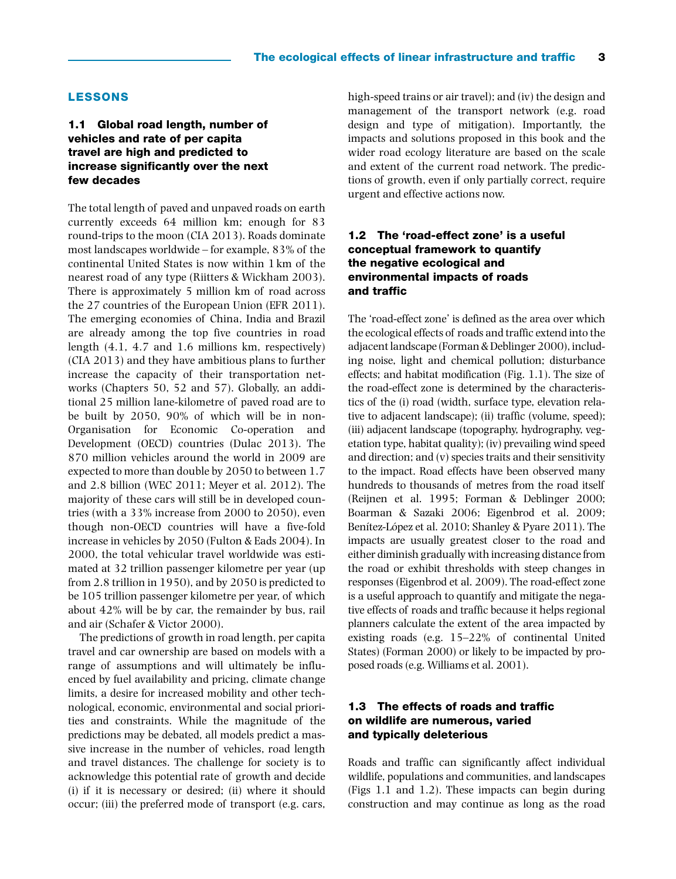### **LESSONS**

# 1.1 Global road length, number of vehicles and rate of per capita travel are high and predicted to increase significantly over the next few decades

The total length of paved and unpaved roads on earth currently exceeds 64 million km; enough for 83 round-trips to the moon (CIA 2013). Roads dominate most landscapes worldwide – for example, 83% of the continental United States is now within 1 km of the nearest road of any type (Riitters & Wickham 2003). There is approximately 5 million km of road across the 27 countries of the European Union (EFR 2011). The emerging economies of China, India and Brazil are already among the top five countries in road length (4.1, 4.7 and 1.6 millions km, respectively) (CIA 2013) and they have ambitious plans to further increase the capacity of their transportation networks (Chapters 50, 52 and 57). Globally, an additional 25 million lane‐kilometre of paved road are to be built by 2050, 90% of which will be in non‐ Organisation for Economic Co-operation and Development (OECD) countries (Dulac 2013). The 870 million vehicles around the world in 2009 are expected to more than double by 2050 to between 1.7 and 2.8 billion (WEC 2011; Meyer et al. 2012). The majority of these cars will still be in developed countries (with a 33% increase from 2000 to 2050), even though non‐OECD countries will have a five‐fold increase in vehicles by 2050 (Fulton & Eads 2004). In 2000, the total vehicular travel worldwide was estimated at 32 trillion passenger kilometre per year (up from 2.8 trillion in 1950), and by 2050 is predicted to be 105 trillion passenger kilometre per year, of which about 42% will be by car, the remainder by bus, rail and air (Schafer & Victor 2000).

The predictions of growth in road length, per capita travel and car ownership are based on models with a range of assumptions and will ultimately be influenced by fuel availability and pricing, climate change limits, a desire for increased mobility and other technological, economic, environmental and social priorities and constraints. While the magnitude of the predictions may be debated, all models predict a massive increase in the number of vehicles, road length and travel distances. The challenge for society is to acknowledge this potential rate of growth and decide (i) if it is necessary or desired; (ii) where it should occur; (iii) the preferred mode of transport (e.g. cars,

high-speed trains or air travel); and (iv) the design and management of the transport network (e.g. road design and type of mitigation). Importantly, the impacts and solutions proposed in this book and the wider road ecology literature are based on the scale and extent of the current road network. The predictions of growth, even if only partially correct, require urgent and effective actions now.

# 1.2 The 'road‐effect zone' is a useful conceptual framework to quantify the negative ecological and environmental impacts of roads and traffic

The 'road‐effect zone' is defined as the area over which the ecological effects of roads and traffic extend into the adjacent landscape (Forman & Deblinger 2000), including noise, light and chemical pollution; disturbance effects; and habitat modification (Fig. 1.1). The size of the road‐effect zone is determined by the characteristics of the (i) road (width, surface type, elevation relative to adjacent landscape); (ii) traffic (volume, speed); (iii) adjacent landscape (topography, hydrography, vegetation type, habitat quality); (iv) prevailing wind speed and direction; and (v) species traits and their sensitivity to the impact. Road effects have been observed many hundreds to thousands of metres from the road itself (Reijnen et al. 1995; Forman & Deblinger 2000; Boarman & Sazaki 2006; Eigenbrod et al. 2009; Benítez‐López et al. 2010; Shanley & Pyare 2011). The impacts are usually greatest closer to the road and either diminish gradually with increasing distance from the road or exhibit thresholds with steep changes in responses (Eigenbrod et al. 2009). The road‐effect zone is a useful approach to quantify and mitigate the negative effects of roads and traffic because it helps regional planners calculate the extent of the area impacted by existing roads (e.g. 15–22% of continental United States) (Forman 2000) or likely to be impacted by proposed roads (e.g. Williams et al. 2001).

# 1.3 The effects of roads and traffic on wildlife are numerous, varied and typically deleterious

Roads and traffic can significantly affect individual wildlife, populations and communities, and landscapes (Figs 1.1 and 1.2). These impacts can begin during construction and may continue as long as the road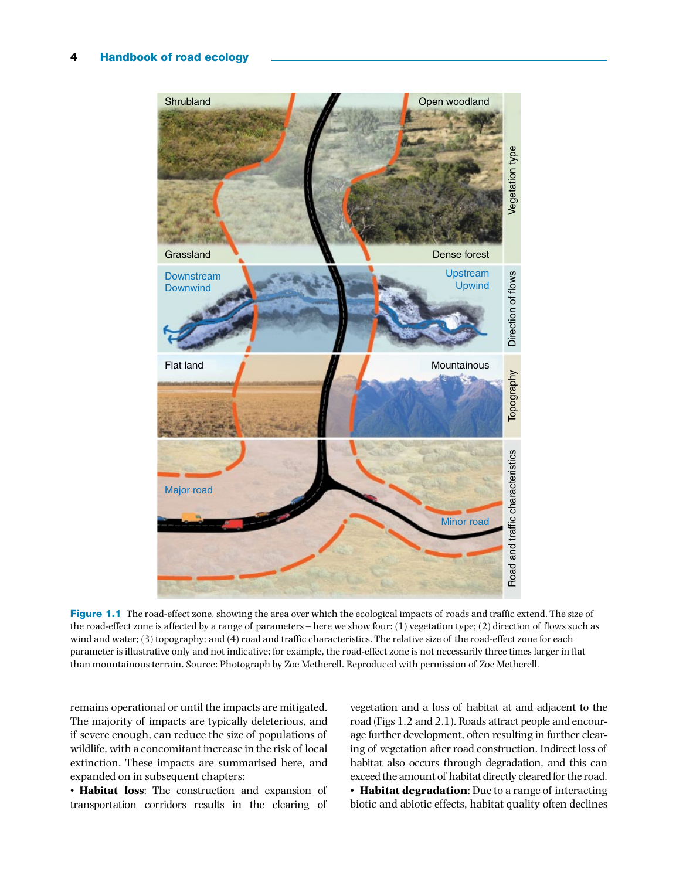

Figure 1.1 The road-effect zone, showing the area over which the ecological impacts of roads and traffic extend. The size of the road‐effect zone is affected by a range of parameters – here we show four: (1) vegetation type; (2) direction of flows such as wind and water; (3) topography; and (4) road and traffic characteristics. The relative size of the road-effect zone for each parameter is illustrative only and not indicative; for example, the road‐effect zone is not necessarily three times larger in flat than mountainous terrain. Source: Photograph by Zoe Metherell. Reproduced with permission of Zoe Metherell.

remains operational or until the impacts are mitigated. The majority of impacts are typically deleterious, and if severe enough, can reduce the size of populations of wildlife, with a concomitant increase in the risk of local extinction. These impacts are summarised here, and expanded on in subsequent chapters:

• **Habitat loss**: The construction and expansion of transportation corridors results in the clearing of

vegetation and a loss of habitat at and adjacent to the road (Figs 1.2 and 2.1). Roads attract people and encourage further development, often resulting in further clearing of vegetation after road construction. Indirect loss of habitat also occurs through degradation, and this can exceed the amount of habitat directly cleared for the road. • **Habitat degradation**: Due to a range of interacting biotic and abiotic effects, habitat quality often declines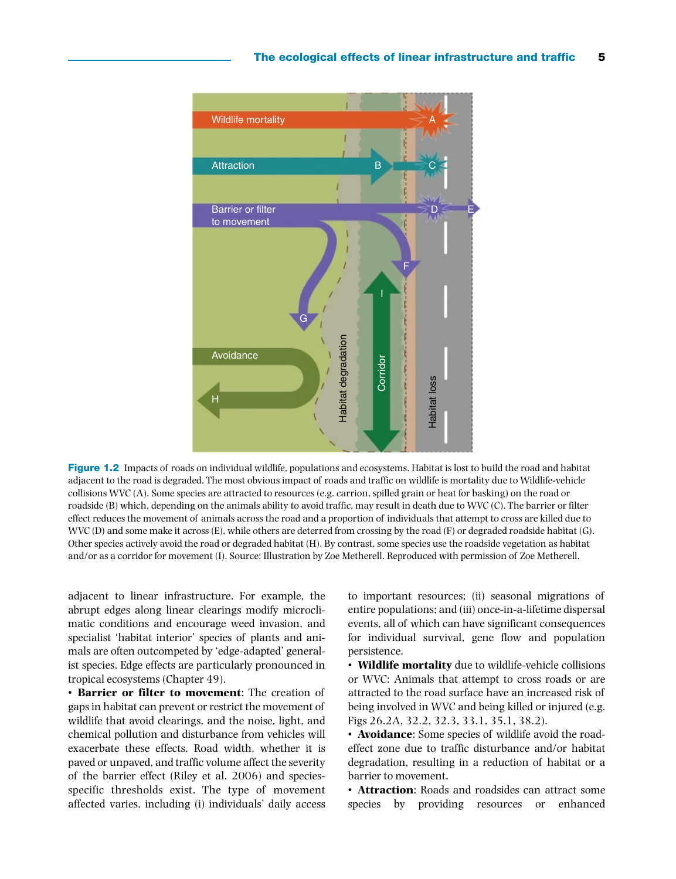

Figure 1.2 Impacts of roads on individual wildlife, populations and ecosystems. Habitat is lost to build the road and habitat adjacent to the road is degraded. The most obvious impact of roads and traffic on wildlife is mortality due to Wildlife-vehicle collisions WVC (A). Some species are attracted to resources (e.g. carrion, spilled grain or heat for basking) on the road or roadside (B) which, depending on the animals ability to avoid traffic, may result in death due to WVC (C). The barrier or filter effect reduces the movement of animals across the road and a proportion of individuals that attempt to cross are killed due to WVC (D) and some make it across (E), while others are deterred from crossing by the road (F) or degraded roadside habitat (G). Other species actively avoid the road or degraded habitat (H). By contrast, some species use the roadside vegetation as habitat and/or as a corridor for movement (I). Source: Illustration by Zoe Metherell. Reproduced with permission of Zoe Metherell.

adjacent to linear infrastructure. For example, the abrupt edges along linear clearings modify microclimatic conditions and encourage weed invasion, and specialist 'habitat interior' species of plants and animals are often outcompeted by 'edge‐adapted' generalist species. Edge effects are particularly pronounced in tropical ecosystems (Chapter 49).

• **Barrier or filter to movement**: The creation of gaps in habitat can prevent or restrict the movement of wildlife that avoid clearings, and the noise, light, and chemical pollution and disturbance from vehicles will exacerbate these effects. Road width, whether it is paved or unpaved, and traffic volume affect the severity of the barrier effect (Riley et al. 2006) and species‐ specific thresholds exist. The type of movement affected varies, including (i) individuals' daily access to important resources; (ii) seasonal migrations of entire populations; and (iii) once‐in‐a‐lifetime dispersal events, all of which can have significant consequences for individual survival, gene flow and population persistence.

• **Wildlife mortality** due to wildlife-vehicle collisions or WVC: Animals that attempt to cross roads or are attracted to the road surface have an increased risk of being involved in WVC and being killed or injured (e.g. Figs 26.2A, 32.2, 32.3, 33.1, 35.1, 38.2).

• **Avoidance**: Some species of wildlife avoid the road‐ effect zone due to traffic disturbance and/or habitat degradation, resulting in a reduction of habitat or a barrier to movement.

• **Attraction**: Roads and roadsides can attract some species by providing resources or enhanced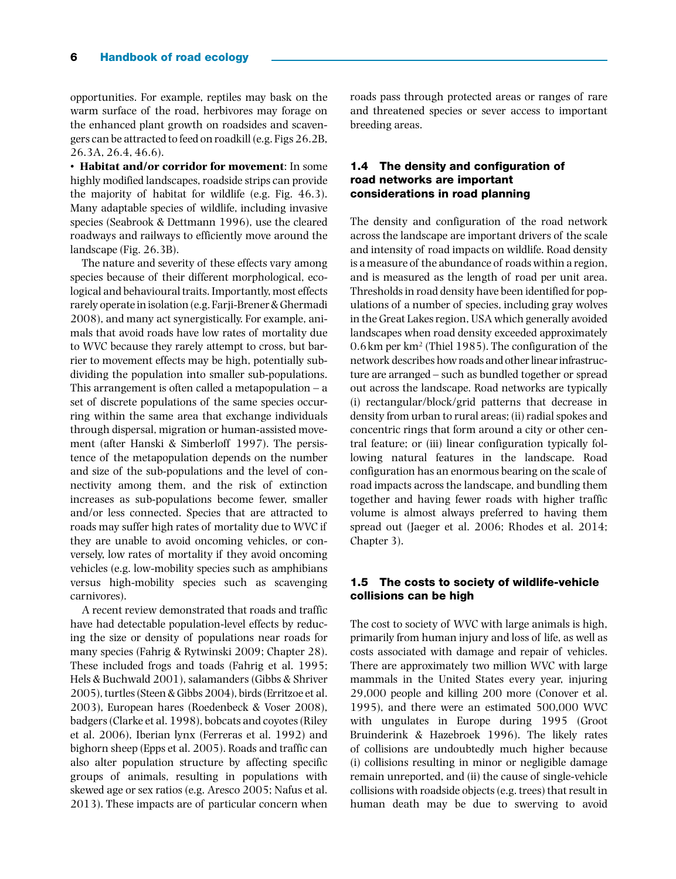opportunities. For example, reptiles may bask on the warm surface of the road, herbivores may forage on the enhanced plant growth on roadsides and scavengers can be attracted to feed on roadkill (e.g. Figs 26.2B, 26.3A, 26.4, 46.6).

• **Habitat and/or corridor for movement**: In some highly modified landscapes, roadside strips can provide the majority of habitat for wildlife (e.g. Fig. 46.3). Many adaptable species of wildlife, including invasive species (Seabrook & Dettmann 1996), use the cleared roadways and railways to efficiently move around the landscape (Fig. 26.3B).

The nature and severity of these effects vary among species because of their different morphological, ecological and behavioural traits. Importantly, most effects rarely operate in isolation (e.g. Farji‐Brener & Ghermadi 2008), and many act synergistically. For example, animals that avoid roads have low rates of mortality due to WVC because they rarely attempt to cross, but barrier to movement effects may be high, potentially subdividing the population into smaller sub‐populations. This arrangement is often called a metapopulation  $-$  a set of discrete populations of the same species occurring within the same area that exchange individuals through dispersal, migration or human‐assisted movement (after Hanski & Simberloff 1997). The persistence of the metapopulation depends on the number and size of the sub‐populations and the level of connectivity among them, and the risk of extinction increases as sub‐populations become fewer, smaller and/or less connected. Species that are attracted to roads may suffer high rates of mortality due to WVC if they are unable to avoid oncoming vehicles, or conversely, low rates of mortality if they avoid oncoming vehicles (e.g. low‐mobility species such as amphibians versus high‐mobility species such as scavenging carnivores).

A recent review demonstrated that roads and traffic have had detectable population-level effects by reducing the size or density of populations near roads for many species (Fahrig & Rytwinski 2009; Chapter 28). These included frogs and toads (Fahrig et al. 1995; Hels & Buchwald 2001), salamanders (Gibbs & Shriver 2005), turtles (Steen & Gibbs 2004), birds (Erritzoe et al. 2003), European hares (Roedenbeck & Voser 2008), badgers (Clarke et al. 1998), bobcats and coyotes (Riley et al. 2006), Iberian lynx (Ferreras et al. 1992) and bighorn sheep (Epps et al. 2005). Roads and traffic can also alter population structure by affecting specific groups of animals, resulting in populations with skewed age or sex ratios (e.g. Aresco 2005; Nafus et al. 2013). These impacts are of particular concern when roads pass through protected areas or ranges of rare and threatened species or sever access to important breeding areas.

### 1.4 The density and configuration of road networks are important considerations in road planning

The density and configuration of the road network across the landscape are important drivers of the scale and intensity of road impacts on wildlife. Road density is a measure of the abundance of roads within a region, and is measured as the length of road per unit area. Thresholds in road density have been identified for populations of a number of species, including gray wolves in the Great Lakes region, USA which generally avoided landscapes when road density exceeded approximately 0.6km per km2 (Thiel 1985). The configuration of the network describes how roads and other linear infrastructure are arranged – such as bundled together or spread out across the landscape. Road networks are typically (i) rectangular/block/grid patterns that decrease in density from urban to rural areas; (ii) radial spokes and concentric rings that form around a city or other central feature; or (iii) linear configuration typically following natural features in the landscape. Road configuration has an enormous bearing on the scale of road impacts across the landscape, and bundling them together and having fewer roads with higher traffic volume is almost always preferred to having them spread out (Jaeger et al. 2006; Rhodes et al. 2014; Chapter 3).

#### 1.5 The costs to society of wildlife-vehicle collisions can be high

The cost to society of WVC with large animals is high, primarily from human injury and loss of life, as well as costs associated with damage and repair of vehicles. There are approximately two million WVC with large mammals in the United States every year, injuring 29,000 people and killing 200 more (Conover et al. 1995), and there were an estimated 500,000 WVC with ungulates in Europe during 1995 (Groot Bruinderink & Hazebroek 1996). The likely rates of collisions are undoubtedly much higher because (i) collisions resulting in minor or negligible damage remain unreported, and (ii) the cause of single‐vehicle collisions with roadside objects (e.g. trees) that result in human death may be due to swerving to avoid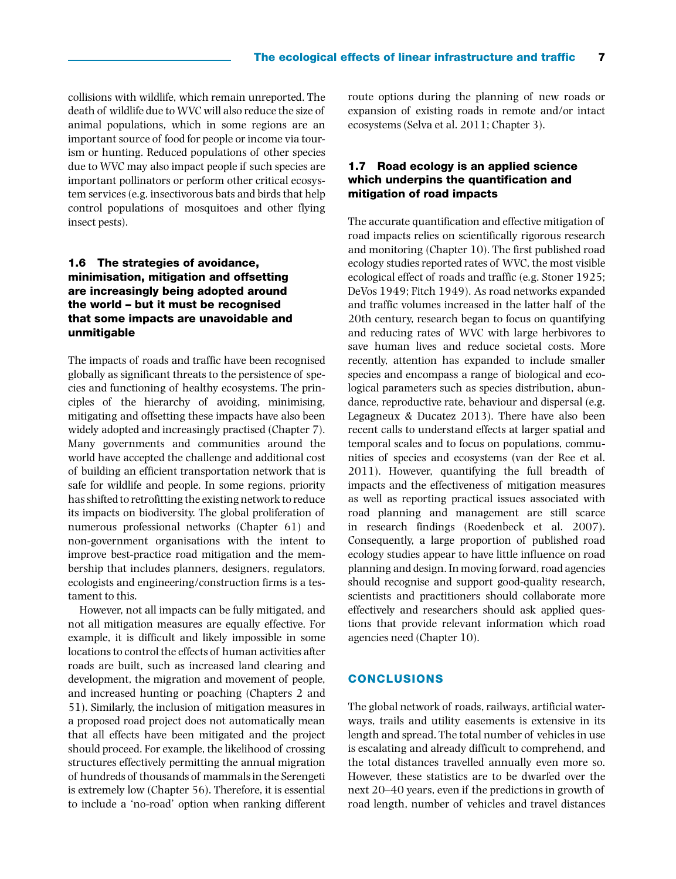collisions with wildlife, which remain unreported. The death of wildlife due to WVC will also reduce the size of animal populations, which in some regions are an important source of food for people or income via tourism or hunting. Reduced populations of other species due to WVC may also impact people if such species are important pollinators or perform other critical ecosystem services (e.g. insectivorous bats and birds that help control populations of mosquitoes and other flying insect pests).

# 1.6 The strategies of avoidance, minimisation, mitigation and offsetting are increasingly being adopted around the world – but it must be recognised that some impacts are unavoidable and unmitigable

The impacts of roads and traffic have been recognised globally as significant threats to the persistence of species and functioning of healthy ecosystems. The principles of the hierarchy of avoiding, minimising, mitigating and offsetting these impacts have also been widely adopted and increasingly practised (Chapter 7). Many governments and communities around the world have accepted the challenge and additional cost of building an efficient transportation network that is safe for wildlife and people. In some regions, priority has shifted to retrofitting the existing network to reduce its impacts on biodiversity. The global proliferation of numerous professional networks (Chapter 61) and non‐government organisations with the intent to improve best-practice road mitigation and the membership that includes planners, designers, regulators, ecologists and engineering/construction firms is a testament to this.

However, not all impacts can be fully mitigated, and not all mitigation measures are equally effective. For example, it is difficult and likely impossible in some locations to control the effects of human activities after roads are built, such as increased land clearing and development, the migration and movement of people, and increased hunting or poaching (Chapters 2 and 51). Similarly, the inclusion of mitigation measures in a proposed road project does not automatically mean that all effects have been mitigated and the project should proceed. For example, the likelihood of crossing structures effectively permitting the annual migration of hundreds of thousands of mammals in the Serengeti is extremely low (Chapter 56). Therefore, it is essential to include a 'no‐road' option when ranking different route options during the planning of new roads or expansion of existing roads in remote and/or intact ecosystems (Selva et al. 2011; Chapter 3).

### 1.7 Road ecology is an applied science which underpins the quantification and mitigation of road impacts

The accurate quantification and effective mitigation of road impacts relies on scientifically rigorous research and monitoring (Chapter 10). The first published road ecology studies reported rates of WVC, the most visible ecological effect of roads and traffic (e.g. Stoner 1925; DeVos 1949; Fitch 1949). As road networks expanded and traffic volumes increased in the latter half of the 20th century, research began to focus on quantifying and reducing rates of WVC with large herbivores to save human lives and reduce societal costs. More recently, attention has expanded to include smaller species and encompass a range of biological and ecological parameters such as species distribution, abundance, reproductive rate, behaviour and dispersal (e.g. Legagneux & Ducatez 2013). There have also been recent calls to understand effects at larger spatial and temporal scales and to focus on populations, communities of species and ecosystems (van der Ree et al. 2011). However, quantifying the full breadth of impacts and the effectiveness of mitigation measures as well as reporting practical issues associated with road planning and management are still scarce in research findings (Roedenbeck et al. 2007). Consequently, a large proportion of published road ecology studies appear to have little influence on road planning and design. In moving forward, road agencies should recognise and support good‐quality research, scientists and practitioners should collaborate more effectively and researchers should ask applied questions that provide relevant information which road agencies need (Chapter 10).

#### **CONCLUSIONS**

The global network of roads, railways, artificial waterways, trails and utility easements is extensive in its length and spread. The total number of vehicles in use is escalating and already difficult to comprehend, and the total distances travelled annually even more so. However, these statistics are to be dwarfed over the next 20–40 years, even if the predictions in growth of road length, number of vehicles and travel distances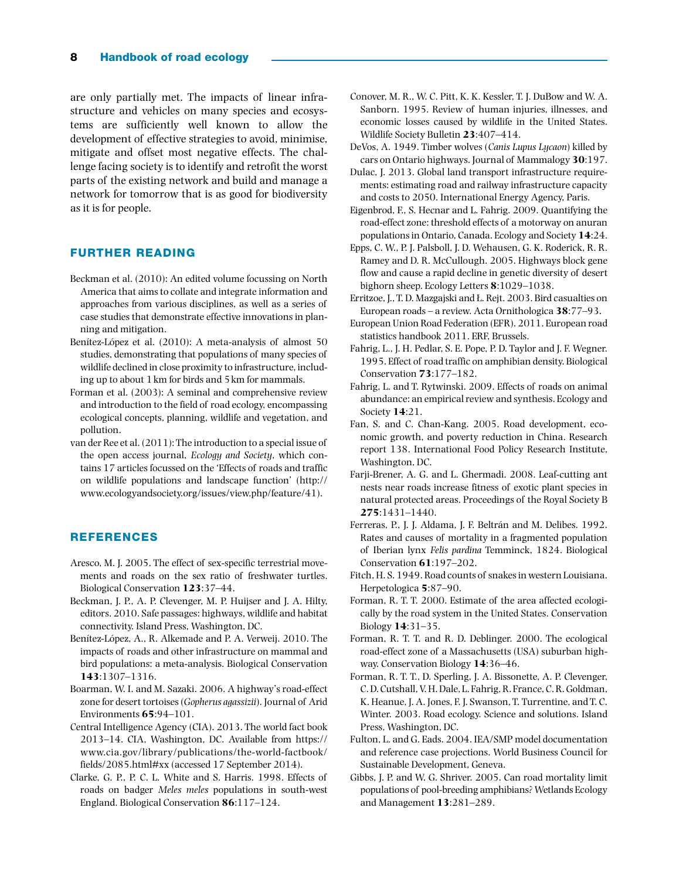#### 8 Handbook of road ecology

are only partially met. The impacts of linear infrastructure and vehicles on many species and ecosystems are sufficiently well known to allow the development of effective strategies to avoid, minimise, mitigate and offset most negative effects. The challenge facing society is to identify and retrofit the worst parts of the existing network and build and manage a network for tomorrow that is as good for biodiversity as it is for people.

# Further Reading

- Beckman et al. (2010): An edited volume focussing on North America that aims to collate and integrate information and approaches from various disciplines, as well as a series of case studies that demonstrate effective innovations in planning and mitigation.
- Benítez‐López et al. (2010): A meta‐analysis of almost 50 studies, demonstrating that populations of many species of wildlife declined in close proximity to infrastructure, including up to about 1km for birds and 5km for mammals.
- Forman et al. (2003): A seminal and comprehensive review and introduction to the field of road ecology, encompassing ecological concepts, planning, wildlife and vegetation, and pollution.
- van der Ree et al. (2011): The introduction to a special issue of the open access journal, *Ecology and Society*, which contains 17 articles focussed on the 'Effects of roads and traffic on wildlife populations and landscape function' (http:// www.ecologyandsociety.org/issues/view.php/feature/41).

#### **REFERENCES**

- Aresco, M. J. 2005. The effect of sex-specific terrestrial movements and roads on the sex ratio of freshwater turtles. Biological Conservation **123**:37–44.
- Beckman, J. P., A. P. Clevenger, M. P. Huijser and J. A. Hilty, editors. 2010. Safe passages: highways, wildlife and habitat connectivity. Island Press, Washington, DC.
- Benítez‐López, A., R. Alkemade and P. A. Verweij. 2010. The impacts of roads and other infrastructure on mammal and bird populations: a meta‐analysis. Biological Conservation **143**:1307–1316.
- Boarman, W. I. and M. Sazaki. 2006. A highway's road‐effect zone for desert tortoises (*Gopherus agassizii*). Journal of Arid Environments **65**:94–101.
- Central Intelligence Agency (CIA). 2013. The world fact book 2013–14. CIA, Washington, DC. Available from https:// www.cia.gov/library/publications/the‐world‐factbook/ fields/2085.html#xx (accessed 17 September 2014).
- Clarke, G. P., P. C. L. White and S. Harris. 1998. Effects of roads on badger *Meles meles* populations in south‐west England. Biological Conservation **86**:117–124.
- Conover, M. R., W. C. Pitt, K. K. Kessler, T. J. DuBow and W. A. Sanborn. 1995. Review of human injuries, illnesses, and economic losses caused by wildlife in the United States. Wildlife Society Bulletin **23**:407–414.
- DeVos, A. 1949. Timber wolves (*Canis Lupus Lycaon*) killed by cars on Ontario highways. Journal of Mammalogy **30**:197.
- Dulac, J. 2013. Global land transport infrastructure requirements: estimating road and railway infrastructure capacity and costs to 2050. International Energy Agency, Paris.
- Eigenbrod, F., S. Hecnar and L. Fahrig. 2009. Quantifying the road‐effect zone: threshold effects of a motorway on anuran populations in Ontario, Canada. Ecology and Society **14**:24.
- Epps, C. W., P. J. Palsboll, J. D. Wehausen, G. K. Roderick, R. R. Ramey and D. R. McCullough. 2005. Highways block gene flow and cause a rapid decline in genetic diversity of desert bighorn sheep. Ecology Letters **8**:1029–1038.
- Erritzoe, J., T. D. Mazgajski and Ł. Rejt. 2003. Bird casualties on European roads – a review. Acta Ornithologica **38**:77–93.
- European Union Road Federation (EFR). 2011. European road statistics handbook 2011. ERF, Brussels.
- Fahrig, L., J. H. Pedlar, S. E. Pope, P. D. Taylor and J. F. Wegner. 1995. Effect of road traffic on amphibian density. Biological Conservation **73**:177–182.
- Fahrig, L. and T. Rytwinski. 2009. Effects of roads on animal abundance: an empirical review and synthesis. Ecology and Society **14**:21.
- Fan, S. and C. Chan-Kang. 2005. Road development, economic growth, and poverty reduction in China. Research report 138. International Food Policy Research Institute, Washington, DC.
- Farji-Brener, A. G. and L. Ghermadi. 2008. Leaf-cutting ant nests near roads increase fitness of exotic plant species in natural protected areas. Proceedings of the Royal Society B **275**:1431–1440.
- Ferreras, P., J. J. Aldama, J. F. Beltrán and M. Delibes. 1992. Rates and causes of mortality in a fragmented population of Iberian lynx *Felis pardina* Temminck, 1824. Biological Conservation **61**:197–202.
- Fitch, H. S. 1949. Road counts of snakes in western Louisiana. Herpetologica **5**:87–90.
- Forman, R. T. T. 2000. Estimate of the area affected ecologically by the road system in the United States. Conservation Biology **14**:31–35.
- Forman, R. T. T. and R. D. Deblinger. 2000. The ecological road‐effect zone of a Massachusetts (USA) suburban highway. Conservation Biology **14**:36–46.
- Forman, R. T. T., D. Sperling, J. A. Bissonette, A. P. Clevenger, C. D. Cutshall, V. H. Dale, L. Fahrig, R. France, C. R. Goldman, K. Heanue, J. A. Jones, F. J. Swanson, T. Turrentine, and T. C. Winter. 2003. Road ecology. Science and solutions. Island Press, Washington, DC.
- Fulton, L. and G. Eads. 2004. IEA/SMP model documentation and reference case projections. World Business Council for Sustainable Development, Geneva.
- Gibbs, J. P. and W. G. Shriver. 2005. Can road mortality limit populations of pool‐breeding amphibians? Wetlands Ecology and Management **13**:281–289.